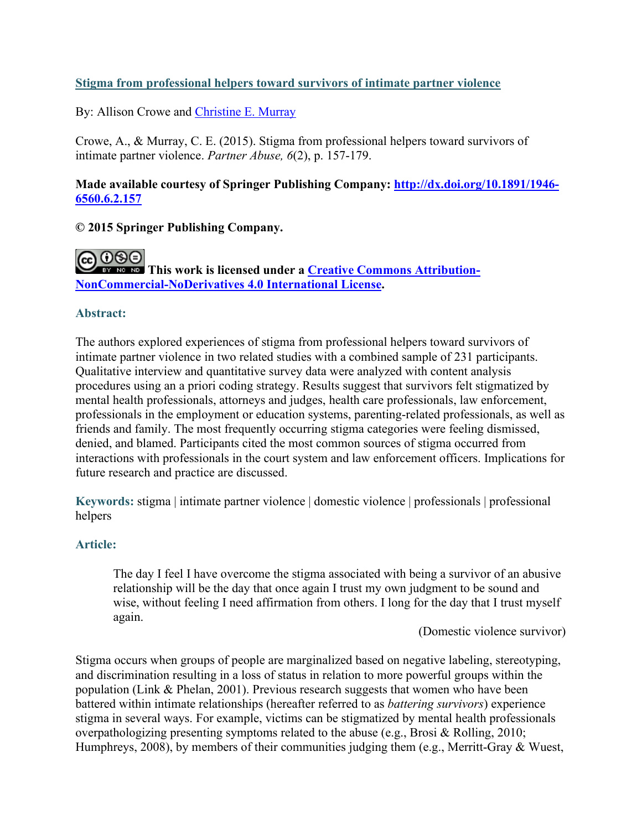# **Stigma from professional helpers toward survivors of intimate partner violence**

By: Allison Crowe and [Christine E. Murray](https://libres.uncg.edu/ir/uncg/clist.aspx?id=894)

Crowe, A., & Murray, C. E. (2015). Stigma from professional helpers toward survivors of intimate partner violence. *Partner Abuse, 6*(2), p. 157-179.

## **Made available courtesy of Springer Publishing Company: [http://dx.doi.org/10.1891/1946-](http://dx.doi.org/10.1891/1946-6560.6.2.157) [6560.6.2.157](http://dx.doi.org/10.1891/1946-6560.6.2.157)**

# **© 2015 Springer Publishing Company.**

**This work is licensed under a [Creative Commons Attribution-](http://creativecommons.org/licenses/by-nc-nd/4.0/)[NonCommercial-NoDerivatives 4.0 International License.](http://creativecommons.org/licenses/by-nc-nd/4.0/)**

# **Abstract:**

The authors explored experiences of stigma from professional helpers toward survivors of intimate partner violence in two related studies with a combined sample of 231 participants. Qualitative interview and quantitative survey data were analyzed with content analysis procedures using an a priori coding strategy. Results suggest that survivors felt stigmatized by mental health professionals, attorneys and judges, health care professionals, law enforcement, professionals in the employment or education systems, parenting-related professionals, as well as friends and family. The most frequently occurring stigma categories were feeling dismissed, denied, and blamed. Participants cited the most common sources of stigma occurred from interactions with professionals in the court system and law enforcement officers. Implications for future research and practice are discussed.

**Keywords:** stigma | intimate partner violence | domestic violence | professionals | professional helpers

## **Article:**

The day I feel I have overcome the stigma associated with being a survivor of an abusive relationship will be the day that once again I trust my own judgment to be sound and wise, without feeling I need affirmation from others. I long for the day that I trust myself again.

(Domestic violence survivor)

Stigma occurs when groups of people are marginalized based on negative labeling, stereotyping, and discrimination resulting in a loss of status in relation to more powerful groups within the population (Link & Phelan, 2001). Previous research suggests that women who have been battered within intimate relationships (hereafter referred to as *battering survivors*) experience stigma in several ways. For example, victims can be stigmatized by mental health professionals overpathologizing presenting symptoms related to the abuse (e.g., Brosi & Rolling, 2010; Humphreys, 2008), by members of their communities judging them (e.g., Merritt-Gray & Wuest,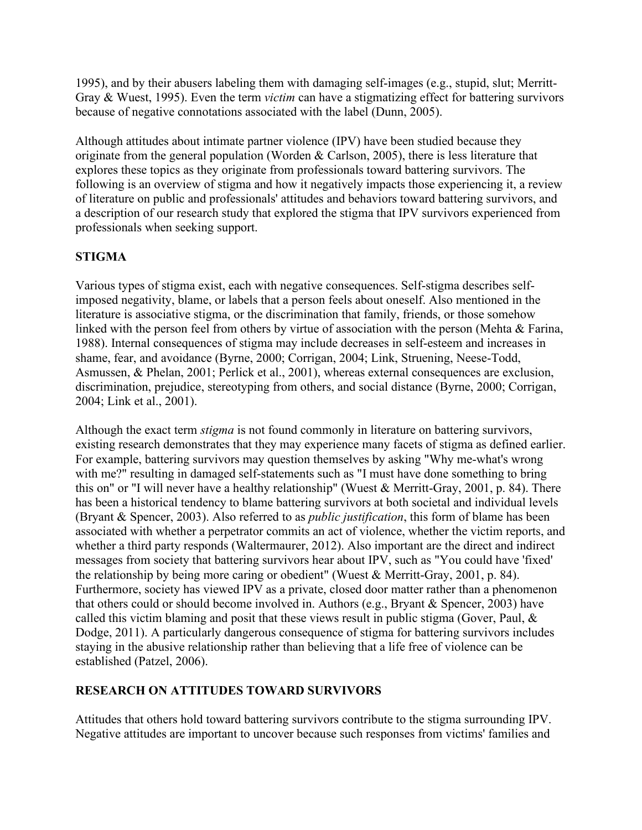1995), and by their abusers labeling them with damaging self-images (e.g., stupid, slut; Merritt-Gray & Wuest, 1995). Even the term *victim* can have a stigmatizing effect for battering survivors because of negative connotations associated with the label (Dunn, 2005).

Although attitudes about intimate partner violence (IPV) have been studied because they originate from the general population (Worden & Carlson, 2005), there is less literature that explores these topics as they originate from professionals toward battering survivors. The following is an overview of stigma and how it negatively impacts those experiencing it, a review of literature on public and professionals' attitudes and behaviors toward battering survivors, and a description of our research study that explored the stigma that IPV survivors experienced from professionals when seeking support.

# **STIGMA**

Various types of stigma exist, each with negative consequences. Self-stigma describes selfimposed negativity, blame, or labels that a person feels about oneself. Also mentioned in the literature is associative stigma, or the discrimination that family, friends, or those somehow linked with the person feel from others by virtue of association with the person (Mehta & Farina, 1988). Internal consequences of stigma may include decreases in self-esteem and increases in shame, fear, and avoidance (Byrne, 2000; Corrigan, 2004; Link, Struening, Neese-Todd, Asmussen, & Phelan, 2001; Perlick et al., 2001), whereas external consequences are exclusion, discrimination, prejudice, stereotyping from others, and social distance (Byrne, 2000; Corrigan, 2004; Link et al., 2001).

Although the exact term *stigma* is not found commonly in literature on battering survivors, existing research demonstrates that they may experience many facets of stigma as defined earlier. For example, battering survivors may question themselves by asking "Why me-what's wrong with me?" resulting in damaged self-statements such as "I must have done something to bring this on" or "I will never have a healthy relationship" (Wuest & Merritt-Gray, 2001, p. 84). There has been a historical tendency to blame battering survivors at both societal and individual levels (Bryant & Spencer, 2003). Also referred to as *public justification*, this form of blame has been associated with whether a perpetrator commits an act of violence, whether the victim reports, and whether a third party responds (Waltermaurer, 2012). Also important are the direct and indirect messages from society that battering survivors hear about IPV, such as "You could have 'fixed' the relationship by being more caring or obedient" (Wuest & Merritt-Gray, 2001, p. 84). Furthermore, society has viewed IPV as a private, closed door matter rather than a phenomenon that others could or should become involved in. Authors (e.g., Bryant & Spencer, 2003) have called this victim blaming and posit that these views result in public stigma (Gover, Paul, & Dodge, 2011). A particularly dangerous consequence of stigma for battering survivors includes staying in the abusive relationship rather than believing that a life free of violence can be established (Patzel, 2006).

## **RESEARCH ON ATTITUDES TOWARD SURVIVORS**

Attitudes that others hold toward battering survivors contribute to the stigma surrounding IPV. Negative attitudes are important to uncover because such responses from victims' families and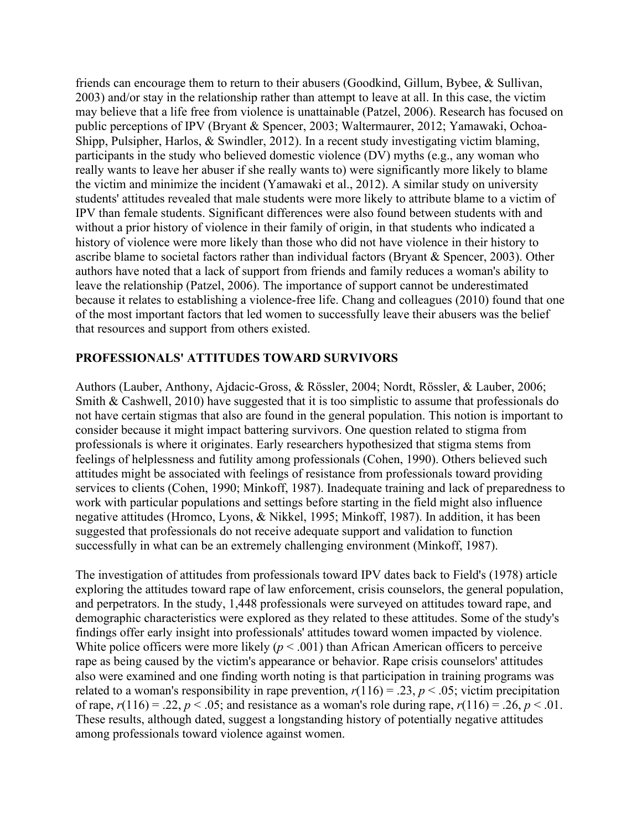friends can encourage them to return to their abusers (Goodkind, Gillum, Bybee, & Sullivan, 2003) and/or stay in the relationship rather than attempt to leave at all. In this case, the victim may believe that a life free from violence is unattainable (Patzel, 2006). Research has focused on public perceptions of IPV (Bryant & Spencer, 2003; Waltermaurer, 2012; Yamawaki, Ochoa-Shipp, Pulsipher, Harlos, & Swindler, 2012). In a recent study investigating victim blaming, participants in the study who believed domestic violence (DV) myths (e.g., any woman who really wants to leave her abuser if she really wants to) were significantly more likely to blame the victim and minimize the incident (Yamawaki et al., 2012). A similar study on university students' attitudes revealed that male students were more likely to attribute blame to a victim of IPV than female students. Significant differences were also found between students with and without a prior history of violence in their family of origin, in that students who indicated a history of violence were more likely than those who did not have violence in their history to ascribe blame to societal factors rather than individual factors (Bryant & Spencer, 2003). Other authors have noted that a lack of support from friends and family reduces a woman's ability to leave the relationship (Patzel, 2006). The importance of support cannot be underestimated because it relates to establishing a violence-free life. Chang and colleagues (2010) found that one of the most important factors that led women to successfully leave their abusers was the belief that resources and support from others existed.

### **PROFESSIONALS' ATTITUDES TOWARD SURVIVORS**

Authors (Lauber, Anthony, Ajdacic-Gross, & Rössler, 2004; Nordt, Rössler, & Lauber, 2006; Smith & Cashwell, 2010) have suggested that it is too simplistic to assume that professionals do not have certain stigmas that also are found in the general population. This notion is important to consider because it might impact battering survivors. One question related to stigma from professionals is where it originates. Early researchers hypothesized that stigma stems from feelings of helplessness and futility among professionals (Cohen, 1990). Others believed such attitudes might be associated with feelings of resistance from professionals toward providing services to clients (Cohen, 1990; Minkoff, 1987). Inadequate training and lack of preparedness to work with particular populations and settings before starting in the field might also influence negative attitudes (Hromco, Lyons, & Nikkel, 1995; Minkoff, 1987). In addition, it has been suggested that professionals do not receive adequate support and validation to function successfully in what can be an extremely challenging environment (Minkoff, 1987).

The investigation of attitudes from professionals toward IPV dates back to Field's (1978) article exploring the attitudes toward rape of law enforcement, crisis counselors, the general population, and perpetrators. In the study, 1,448 professionals were surveyed on attitudes toward rape, and demographic characteristics were explored as they related to these attitudes. Some of the study's findings offer early insight into professionals' attitudes toward women impacted by violence. White police officers were more likely  $(p < .001)$  than African American officers to perceive rape as being caused by the victim's appearance or behavior. Rape crisis counselors' attitudes also were examined and one finding worth noting is that participation in training programs was related to a woman's responsibility in rape prevention,  $r(116) = .23$ ,  $p < .05$ ; victim precipitation of rape,  $r(116) = .22$ ,  $p < .05$ ; and resistance as a woman's role during rape,  $r(116) = .26$ ,  $p < .01$ . These results, although dated, suggest a longstanding history of potentially negative attitudes among professionals toward violence against women.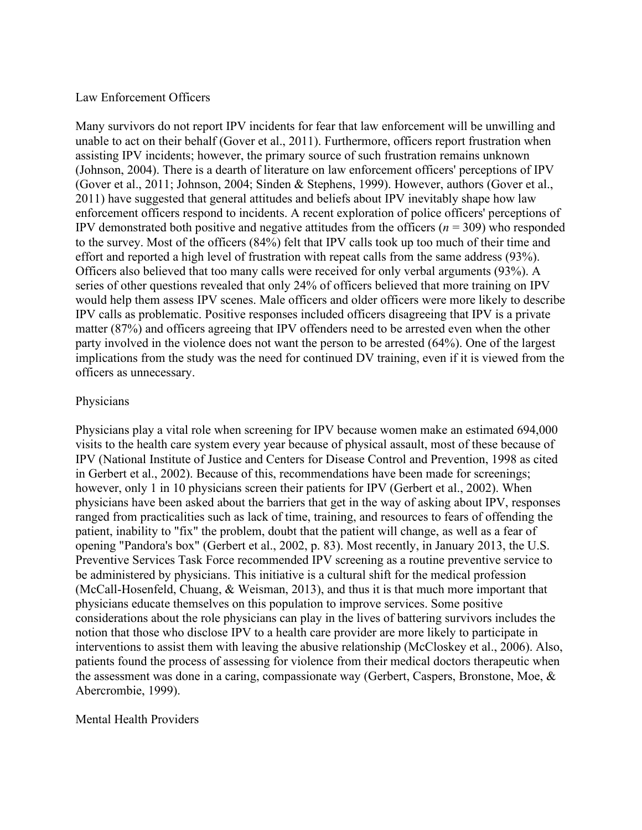#### Law Enforcement Officers

Many survivors do not report IPV incidents for fear that law enforcement will be unwilling and unable to act on their behalf (Gover et al., 2011). Furthermore, officers report frustration when assisting IPV incidents; however, the primary source of such frustration remains unknown (Johnson, 2004). There is a dearth of literature on law enforcement officers' perceptions of IPV (Gover et al., 2011; Johnson, 2004; Sinden & Stephens, 1999). However, authors (Gover et al., 2011) have suggested that general attitudes and beliefs about IPV inevitably shape how law enforcement officers respond to incidents. A recent exploration of police officers' perceptions of IPV demonstrated both positive and negative attitudes from the officers  $(n = 309)$  who responded to the survey. Most of the officers (84%) felt that IPV calls took up too much of their time and effort and reported a high level of frustration with repeat calls from the same address (93%). Officers also believed that too many calls were received for only verbal arguments (93%). A series of other questions revealed that only 24% of officers believed that more training on IPV would help them assess IPV scenes. Male officers and older officers were more likely to describe IPV calls as problematic. Positive responses included officers disagreeing that IPV is a private matter (87%) and officers agreeing that IPV offenders need to be arrested even when the other party involved in the violence does not want the person to be arrested (64%). One of the largest implications from the study was the need for continued DV training, even if it is viewed from the officers as unnecessary.

### Physicians

Physicians play a vital role when screening for IPV because women make an estimated 694,000 visits to the health care system every year because of physical assault, most of these because of IPV (National Institute of Justice and Centers for Disease Control and Prevention, 1998 as cited in Gerbert et al., 2002). Because of this, recommendations have been made for screenings; however, only 1 in 10 physicians screen their patients for IPV (Gerbert et al., 2002). When physicians have been asked about the barriers that get in the way of asking about IPV, responses ranged from practicalities such as lack of time, training, and resources to fears of offending the patient, inability to "fix" the problem, doubt that the patient will change, as well as a fear of opening "Pandora's box" (Gerbert et al., 2002, p. 83). Most recently, in January 2013, the U.S. Preventive Services Task Force recommended IPV screening as a routine preventive service to be administered by physicians. This initiative is a cultural shift for the medical profession (McCall-Hosenfeld, Chuang, & Weisman, 2013), and thus it is that much more important that physicians educate themselves on this population to improve services. Some positive considerations about the role physicians can play in the lives of battering survivors includes the notion that those who disclose IPV to a health care provider are more likely to participate in interventions to assist them with leaving the abusive relationship (McCloskey et al., 2006). Also, patients found the process of assessing for violence from their medical doctors therapeutic when the assessment was done in a caring, compassionate way (Gerbert, Caspers, Bronstone, Moe, & Abercrombie, 1999).

### Mental Health Providers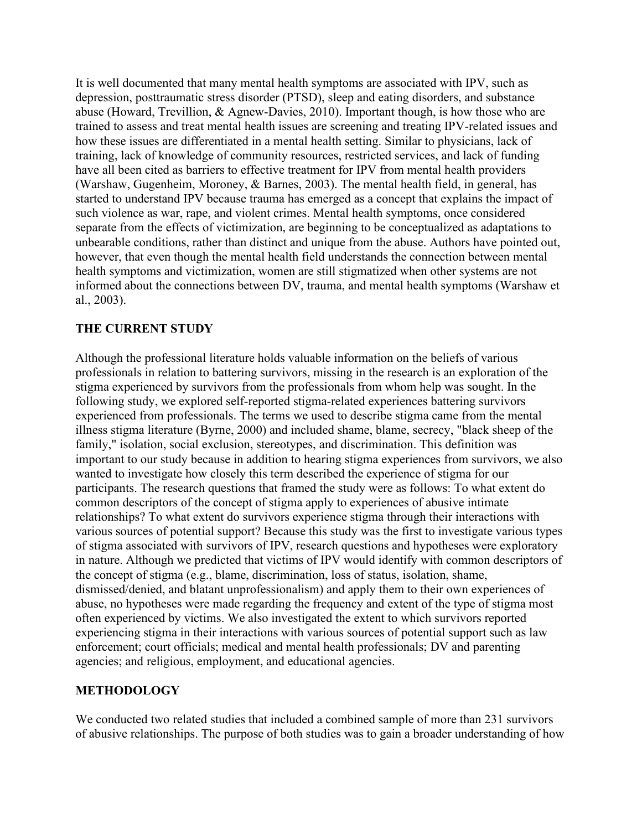It is well documented that many mental health symptoms are associated with IPV, such as depression, posttraumatic stress disorder (PTSD), sleep and eating disorders, and substance abuse (Howard, Trevillion, & Agnew-Davies, 2010). Important though, is how those who are trained to assess and treat mental health issues are screening and treating IPV-related issues and how these issues are differentiated in a mental health setting. Similar to physicians, lack of training, lack of knowledge of community resources, restricted services, and lack of funding have all been cited as barriers to effective treatment for IPV from mental health providers (Warshaw, Gugenheim, Moroney, & Barnes, 2003). The mental health field, in general, has started to understand IPV because trauma has emerged as a concept that explains the impact of such violence as war, rape, and violent crimes. Mental health symptoms, once considered separate from the effects of victimization, are beginning to be conceptualized as adaptations to unbearable conditions, rather than distinct and unique from the abuse. Authors have pointed out, however, that even though the mental health field understands the connection between mental health symptoms and victimization, women are still stigmatized when other systems are not informed about the connections between DV, trauma, and mental health symptoms (Warshaw et al., 2003).

## **THE CURRENT STUDY**

Although the professional literature holds valuable information on the beliefs of various professionals in relation to battering survivors, missing in the research is an exploration of the stigma experienced by survivors from the professionals from whom help was sought. In the following study, we explored self-reported stigma-related experiences battering survivors experienced from professionals. The terms we used to describe stigma came from the mental illness stigma literature (Byrne, 2000) and included shame, blame, secrecy, "black sheep of the family," isolation, social exclusion, stereotypes, and discrimination. This definition was important to our study because in addition to hearing stigma experiences from survivors, we also wanted to investigate how closely this term described the experience of stigma for our participants. The research questions that framed the study were as follows: To what extent do common descriptors of the concept of stigma apply to experiences of abusive intimate relationships? To what extent do survivors experience stigma through their interactions with various sources of potential support? Because this study was the first to investigate various types of stigma associated with survivors of IPV, research questions and hypotheses were exploratory in nature. Although we predicted that victims of IPV would identify with common descriptors of the concept of stigma (e.g., blame, discrimination, loss of status, isolation, shame, dismissed/denied, and blatant unprofessionalism) and apply them to their own experiences of abuse, no hypotheses were made regarding the frequency and extent of the type of stigma most often experienced by victims. We also investigated the extent to which survivors reported experiencing stigma in their interactions with various sources of potential support such as law enforcement; court officials; medical and mental health professionals; DV and parenting agencies; and religious, employment, and educational agencies.

## **METHODOLOGY**

We conducted two related studies that included a combined sample of more than 231 survivors of abusive relationships. The purpose of both studies was to gain a broader understanding of how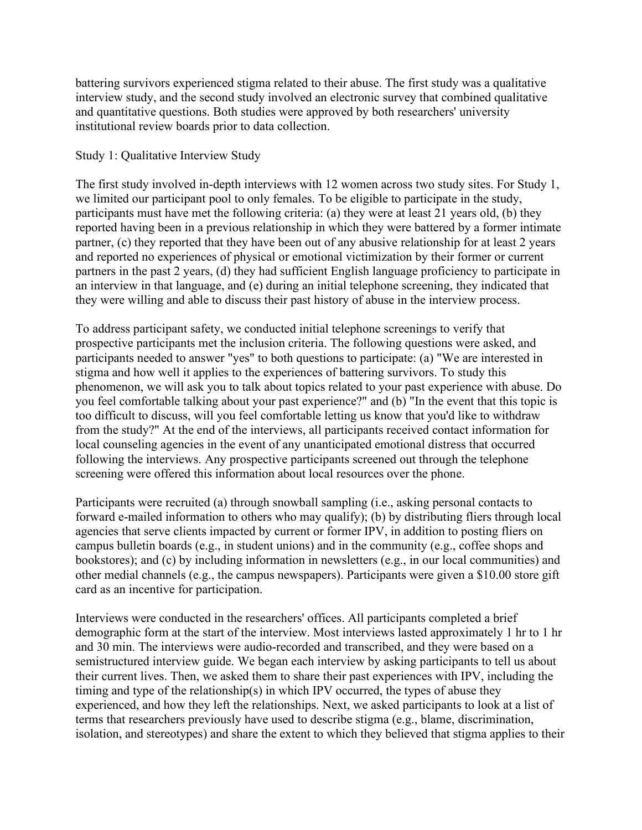battering survivors experienced stigma related to their abuse. The first study was a qualitative interview study, and the second study involved an electronic survey that combined qualitative and quantitative questions. Both studies were approved by both researchers' university institutional review boards prior to data collection.

### Study 1: Qualitative Interview Study

The first study involved in-depth interviews with 12 women across two study sites. For Study 1, we limited our participant pool to only females. To be eligible to participate in the study, participants must have met the following criteria: (a) they were at least 21 years old, (b) they reported having been in a previous relationship in which they were battered by a former intimate partner, (c) they reported that they have been out of any abusive relationship for at least 2 years and reported no experiences of physical or emotional victimization by their former or current partners in the past 2 years, (d) they had sufficient English language proficiency to participate in an interview in that language, and (e) during an initial telephone screening, they indicated that they were willing and able to discuss their past history of abuse in the interview process.

To address participant safety, we conducted initial telephone screenings to verify that prospective participants met the inclusion criteria. The following questions were asked, and participants needed to answer "yes" to both questions to participate: (a) "We are interested in stigma and how well it applies to the experiences of battering survivors. To study this phenomenon, we will ask you to talk about topics related to your past experience with abuse. Do you feel comfortable talking about your past experience?" and (b) "In the event that this topic is too difficult to discuss, will you feel comfortable letting us know that you'd like to withdraw from the study?" At the end of the interviews, all participants received contact information for local counseling agencies in the event of any unanticipated emotional distress that occurred following the interviews. Any prospective participants screened out through the telephone screening were offered this information about local resources over the phone.

Participants were recruited (a) through snowball sampling (i.e., asking personal contacts to forward e-mailed information to others who may qualify); (b) by distributing fliers through local agencies that serve clients impacted by current or former IPV, in addition to posting fliers on campus bulletin boards (e.g., in student unions) and in the community (e.g., coffee shops and bookstores); and (c) by including information in newsletters (e.g., in our local communities) and other medial channels (e.g., the campus newspapers). Participants were given a \$10.00 store gift card as an incentive for participation.

Interviews were conducted in the researchers' offices. All participants completed a brief demographic form at the start of the interview. Most interviews lasted approximately 1 hr to 1 hr and 30 min. The interviews were audio-recorded and transcribed, and they were based on a semistructured interview guide. We began each interview by asking participants to tell us about their current lives. Then, we asked them to share their past experiences with IPV, including the timing and type of the relationship(s) in which IPV occurred, the types of abuse they experienced, and how they left the relationships. Next, we asked participants to look at a list of terms that researchers previously have used to describe stigma (e.g., blame, discrimination, isolation, and stereotypes) and share the extent to which they believed that stigma applies to their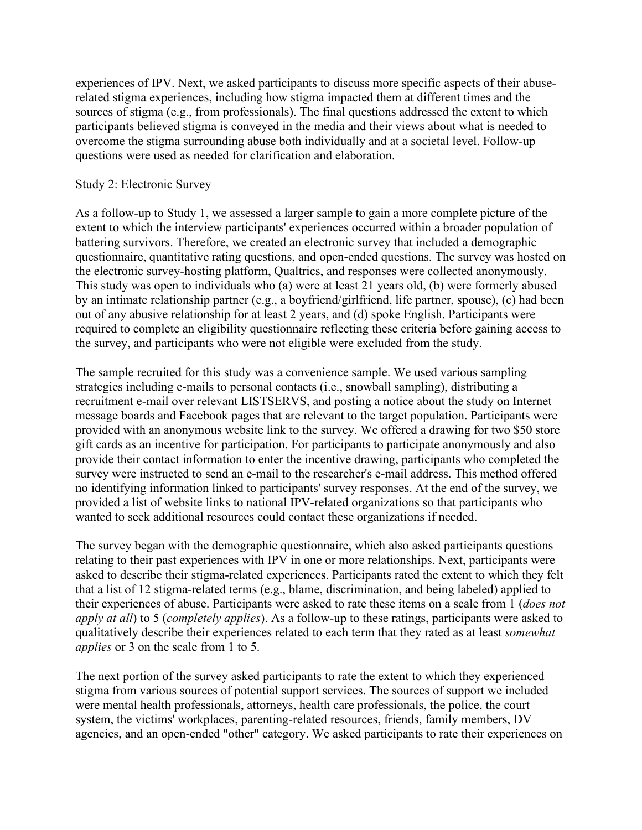experiences of IPV. Next, we asked participants to discuss more specific aspects of their abuserelated stigma experiences, including how stigma impacted them at different times and the sources of stigma (e.g., from professionals). The final questions addressed the extent to which participants believed stigma is conveyed in the media and their views about what is needed to overcome the stigma surrounding abuse both individually and at a societal level. Follow-up questions were used as needed for clarification and elaboration.

#### Study 2: Electronic Survey

As a follow-up to Study 1, we assessed a larger sample to gain a more complete picture of the extent to which the interview participants' experiences occurred within a broader population of battering survivors. Therefore, we created an electronic survey that included a demographic questionnaire, quantitative rating questions, and open-ended questions. The survey was hosted on the electronic survey-hosting platform, Qualtrics, and responses were collected anonymously. This study was open to individuals who (a) were at least 21 years old, (b) were formerly abused by an intimate relationship partner (e.g., a boyfriend/girlfriend, life partner, spouse), (c) had been out of any abusive relationship for at least 2 years, and (d) spoke English. Participants were required to complete an eligibility questionnaire reflecting these criteria before gaining access to the survey, and participants who were not eligible were excluded from the study.

The sample recruited for this study was a convenience sample. We used various sampling strategies including e-mails to personal contacts (i.e., snowball sampling), distributing a recruitment e-mail over relevant LISTSERVS, and posting a notice about the study on Internet message boards and Facebook pages that are relevant to the target population. Participants were provided with an anonymous website link to the survey. We offered a drawing for two \$50 store gift cards as an incentive for participation. For participants to participate anonymously and also provide their contact information to enter the incentive drawing, participants who completed the survey were instructed to send an e-mail to the researcher's e-mail address. This method offered no identifying information linked to participants' survey responses. At the end of the survey, we provided a list of website links to national IPV-related organizations so that participants who wanted to seek additional resources could contact these organizations if needed.

The survey began with the demographic questionnaire, which also asked participants questions relating to their past experiences with IPV in one or more relationships. Next, participants were asked to describe their stigma-related experiences. Participants rated the extent to which they felt that a list of 12 stigma-related terms (e.g., blame, discrimination, and being labeled) applied to their experiences of abuse. Participants were asked to rate these items on a scale from 1 (*does not apply at all*) to 5 (*completely applies*). As a follow-up to these ratings, participants were asked to qualitatively describe their experiences related to each term that they rated as at least *somewhat applies* or 3 on the scale from 1 to 5.

The next portion of the survey asked participants to rate the extent to which they experienced stigma from various sources of potential support services. The sources of support we included were mental health professionals, attorneys, health care professionals, the police, the court system, the victims' workplaces, parenting-related resources, friends, family members, DV agencies, and an open-ended "other" category. We asked participants to rate their experiences on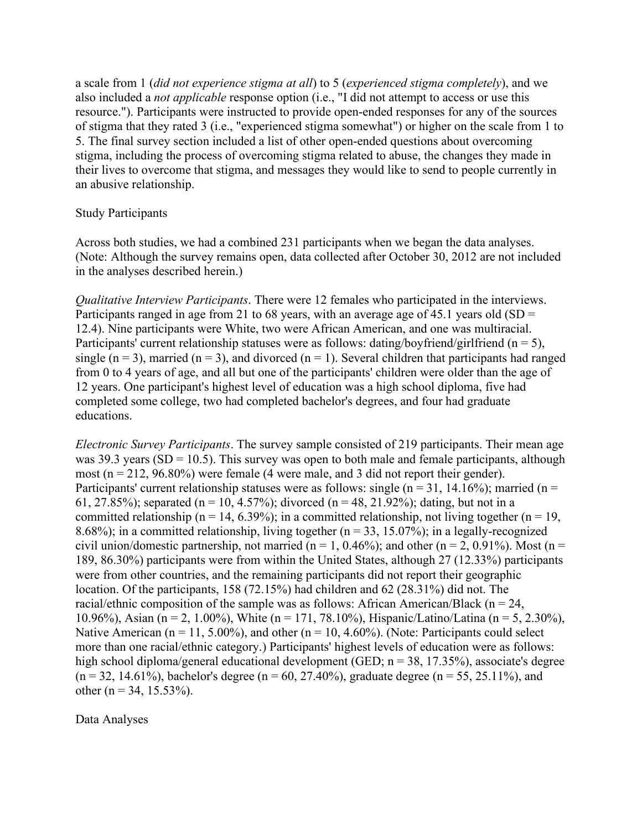a scale from 1 (*did not experience stigma at all*) to 5 (*experienced stigma completely*), and we also included a *not applicable* response option (i.e., "I did not attempt to access or use this resource."). Participants were instructed to provide open-ended responses for any of the sources of stigma that they rated 3 (i.e., "experienced stigma somewhat") or higher on the scale from 1 to 5. The final survey section included a list of other open-ended questions about overcoming stigma, including the process of overcoming stigma related to abuse, the changes they made in their lives to overcome that stigma, and messages they would like to send to people currently in an abusive relationship.

#### Study Participants

Across both studies, we had a combined 231 participants when we began the data analyses. (Note: Although the survey remains open, data collected after October 30, 2012 are not included in the analyses described herein.)

*Qualitative Interview Participants*. There were 12 females who participated in the interviews. Participants ranged in age from 21 to 68 years, with an average age of 45.1 years old  $(SD =$ 12.4). Nine participants were White, two were African American, and one was multiracial. Participants' current relationship statuses were as follows: dating/boyfriend/girlfriend ( $n = 5$ ), single ( $n = 3$ ), married ( $n = 3$ ), and divorced ( $n = 1$ ). Several children that participants had ranged from 0 to 4 years of age, and all but one of the participants' children were older than the age of 12 years. One participant's highest level of education was a high school diploma, five had completed some college, two had completed bachelor's degrees, and four had graduate educations.

*Electronic Survey Participants*. The survey sample consisted of 219 participants. Their mean age was 39.3 years (SD = 10.5). This survey was open to both male and female participants, although most ( $n = 212, 96.80\%$ ) were female (4 were male, and 3 did not report their gender). Participants' current relationship statuses were as follows: single ( $n = 31$ , 14.16%); married ( $n =$ 61, 27.85%); separated (n = 10, 4.57%); divorced (n = 48, 21.92%); dating, but not in a committed relationship ( $n = 14, 6.39\%$ ); in a committed relationship, not living together ( $n = 19$ , 8.68%); in a committed relationship, living together  $(n = 33, 15.07\%)$ ; in a legally-recognized civil union/domestic partnership, not married ( $n = 1$ , 0.46%); and other ( $n = 2$ , 0.91%). Most ( $n =$ 189, 86.30%) participants were from within the United States, although 27 (12.33%) participants were from other countries, and the remaining participants did not report their geographic location. Of the participants, 158 (72.15%) had children and 62 (28.31%) did not. The racial/ethnic composition of the sample was as follows: African American/Black ( $n = 24$ , 10.96%), Asian (n = 2, 1.00%), White (n = 171, 78.10%), Hispanic/Latino/Latina (n = 5, 2.30%), Native American ( $n = 11, 5.00\%$ ), and other ( $n = 10, 4.60\%$ ). (Note: Participants could select more than one racial/ethnic category.) Participants' highest levels of education were as follows: high school diploma/general educational development (GED;  $n = 38$ , 17.35%), associate's degree  $(n = 32, 14.61\%)$ , bachelor's degree  $(n = 60, 27.40\%)$ , graduate degree  $(n = 55, 25.11\%)$ , and other (n = 34, 15.53%).

Data Analyses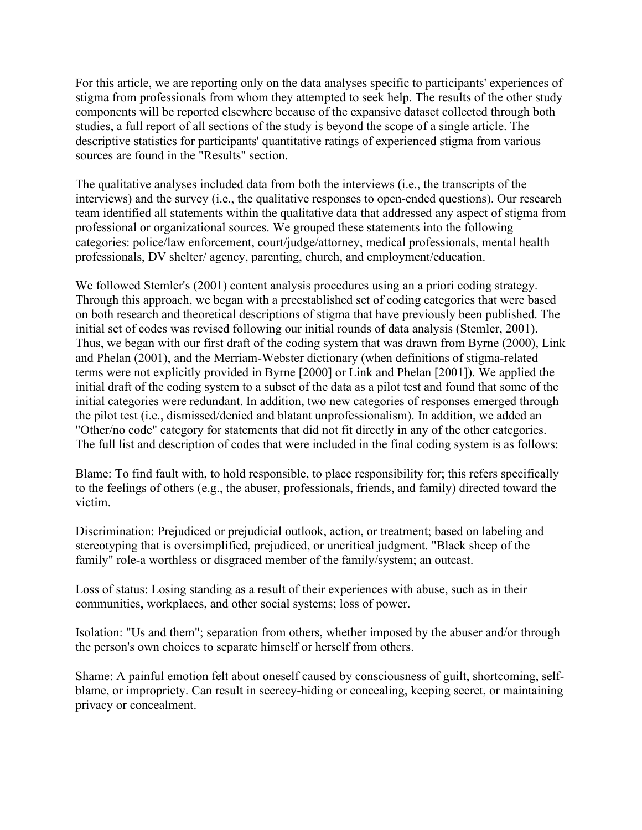For this article, we are reporting only on the data analyses specific to participants' experiences of stigma from professionals from whom they attempted to seek help. The results of the other study components will be reported elsewhere because of the expansive dataset collected through both studies, a full report of all sections of the study is beyond the scope of a single article. The descriptive statistics for participants' quantitative ratings of experienced stigma from various sources are found in the "Results" section.

The qualitative analyses included data from both the interviews (i.e., the transcripts of the interviews) and the survey (i.e., the qualitative responses to open-ended questions). Our research team identified all statements within the qualitative data that addressed any aspect of stigma from professional or organizational sources. We grouped these statements into the following categories: police/law enforcement, court/judge/attorney, medical professionals, mental health professionals, DV shelter/ agency, parenting, church, and employment/education.

We followed Stemler's (2001) content analysis procedures using an a priori coding strategy. Through this approach, we began with a preestablished set of coding categories that were based on both research and theoretical descriptions of stigma that have previously been published. The initial set of codes was revised following our initial rounds of data analysis (Stemler, 2001). Thus, we began with our first draft of the coding system that was drawn from Byrne (2000), Link and Phelan (2001), and the Merriam-Webster dictionary (when definitions of stigma-related terms were not explicitly provided in Byrne [2000] or Link and Phelan [2001]). We applied the initial draft of the coding system to a subset of the data as a pilot test and found that some of the initial categories were redundant. In addition, two new categories of responses emerged through the pilot test (i.e., dismissed/denied and blatant unprofessionalism). In addition, we added an "Other/no code" category for statements that did not fit directly in any of the other categories. The full list and description of codes that were included in the final coding system is as follows:

Blame: To find fault with, to hold responsible, to place responsibility for; this refers specifically to the feelings of others (e.g., the abuser, professionals, friends, and family) directed toward the victim.

Discrimination: Prejudiced or prejudicial outlook, action, or treatment; based on labeling and stereotyping that is oversimplified, prejudiced, or uncritical judgment. "Black sheep of the family" role-a worthless or disgraced member of the family/system; an outcast.

Loss of status: Losing standing as a result of their experiences with abuse, such as in their communities, workplaces, and other social systems; loss of power.

Isolation: "Us and them"; separation from others, whether imposed by the abuser and/or through the person's own choices to separate himself or herself from others.

Shame: A painful emotion felt about oneself caused by consciousness of guilt, shortcoming, selfblame, or impropriety. Can result in secrecy-hiding or concealing, keeping secret, or maintaining privacy or concealment.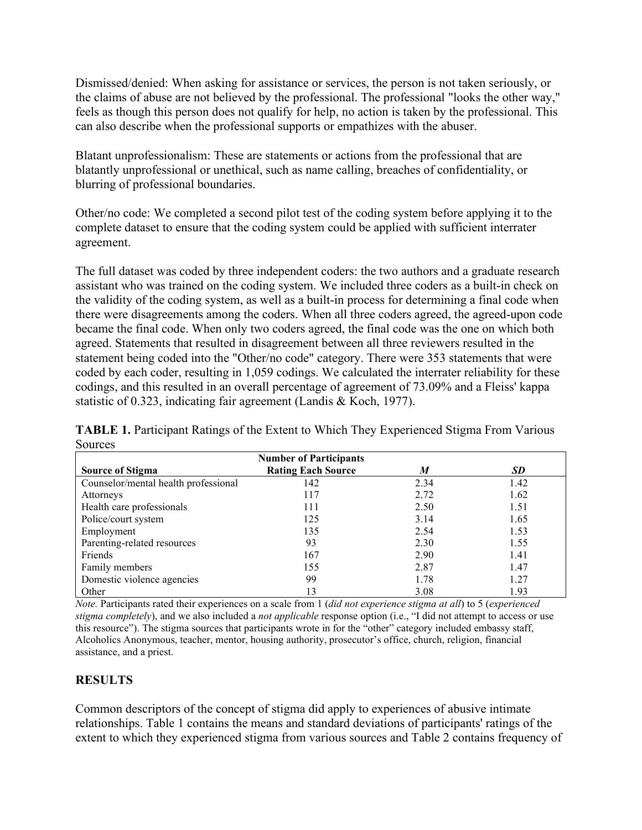Dismissed/denied: When asking for assistance or services, the person is not taken seriously, or the claims of abuse are not believed by the professional. The professional "looks the other way," feels as though this person does not qualify for help, no action is taken by the professional. This can also describe when the professional supports or empathizes with the abuser.

Blatant unprofessionalism: These are statements or actions from the professional that are blatantly unprofessional or unethical, such as name calling, breaches of confidentiality, or blurring of professional boundaries.

Other/no code: We completed a second pilot test of the coding system before applying it to the complete dataset to ensure that the coding system could be applied with sufficient interrater agreement.

The full dataset was coded by three independent coders: the two authors and a graduate research assistant who was trained on the coding system. We included three coders as a built-in check on the validity of the coding system, as well as a built-in process for determining a final code when there were disagreements among the coders. When all three coders agreed, the agreed-upon code became the final code. When only two coders agreed, the final code was the one on which both agreed. Statements that resulted in disagreement between all three reviewers resulted in the statement being coded into the "Other/no code" category. There were 353 statements that were coded by each coder, resulting in 1,059 codings. We calculated the interrater reliability for these codings, and this resulted in an overall percentage of agreement of 73.09% and a Fleiss' kappa statistic of 0.323, indicating fair agreement (Landis & Koch, 1977).

| <b>Number of Participants</b>        |                           |      |           |  |  |  |  |
|--------------------------------------|---------------------------|------|-----------|--|--|--|--|
| <b>Source of Stigma</b>              | <b>Rating Each Source</b> | M    | <b>SD</b> |  |  |  |  |
| Counselor/mental health professional | 142                       | 2.34 | 1.42      |  |  |  |  |
| Attorneys                            | 117                       | 2.72 | 1.62      |  |  |  |  |
| Health care professionals            | 111                       | 2.50 | 1.51      |  |  |  |  |
| Police/court system                  | 125                       | 3.14 | 1.65      |  |  |  |  |
| Employment                           | 135                       | 2.54 | 1.53      |  |  |  |  |
| Parenting-related resources          | 93                        | 2.30 | 1.55      |  |  |  |  |
| Friends                              | 167                       | 2.90 | 1.41      |  |  |  |  |
| Family members                       | 155                       | 2.87 | 1.47      |  |  |  |  |
| Domestic violence agencies           | 99                        | 1.78 | 1.27      |  |  |  |  |
| Other                                | 13                        | 3.08 | 1.93      |  |  |  |  |

**TABLE 1.** Participant Ratings of the Extent to Which They Experienced Stigma From Various **Sources** 

*Note.* Participants rated their experiences on a scale from 1 (*did not experience stigma at all*) to 5 (*experienced stigma completely*), and we also included a *not applicable* response option (i.e., "I did not attempt to access or use this resource"). The stigma sources that participants wrote in for the "other" category included embassy staff, Alcoholics Anonymous, teacher, mentor, housing authority, prosecutor's office, church, religion, financial assistance, and a priest.

## **RESULTS**

Common descriptors of the concept of stigma did apply to experiences of abusive intimate relationships. Table 1 contains the means and standard deviations of participants' ratings of the extent to which they experienced stigma from various sources and Table 2 contains frequency of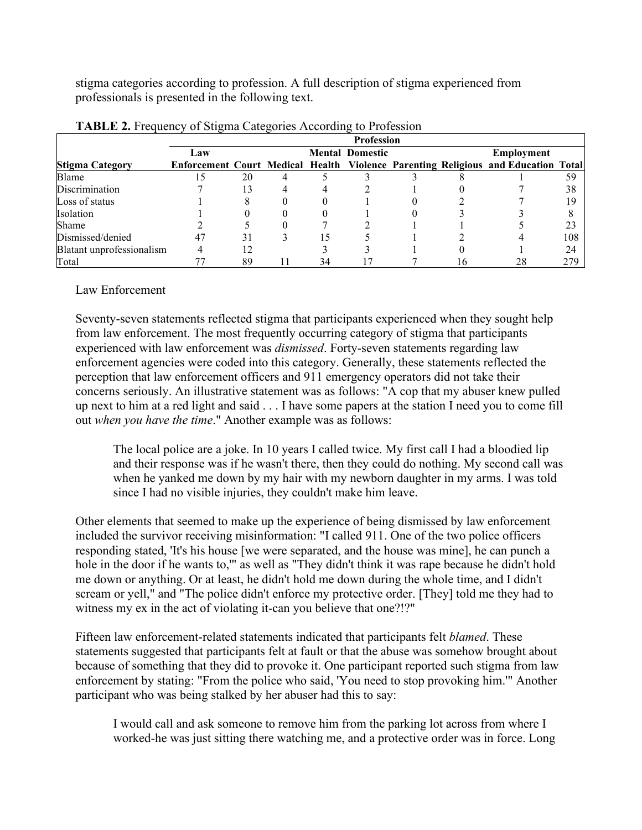stigma categories according to profession. A full description of stigma experienced from professionals is presented in the following text.

|                           | <b>Profession</b> |    |   |    |                        |  |  |                                                                                   |     |
|---------------------------|-------------------|----|---|----|------------------------|--|--|-----------------------------------------------------------------------------------|-----|
|                           | Law               |    |   |    | <b>Mental Domestic</b> |  |  | <b>Employment</b>                                                                 |     |
| <b>Stigma Category</b>    |                   |    |   |    |                        |  |  | Enforcement Court Medical Health Violence Parenting Religious and Education Total |     |
| Blame                     |                   | 20 |   |    |                        |  |  |                                                                                   | 59  |
| <b>Discrimination</b>     |                   |    |   |    |                        |  |  |                                                                                   | 38  |
| Loss of status            |                   |    |   |    |                        |  |  |                                                                                   |     |
| <b>Isolation</b>          |                   |    |   |    |                        |  |  |                                                                                   |     |
| <b>Shame</b>              |                   |    |   |    |                        |  |  |                                                                                   |     |
| Dismissed/denied          | 47                |    |   |    |                        |  |  |                                                                                   | 108 |
| Blatant unprofessionalism |                   |    |   |    |                        |  |  |                                                                                   | 24  |
| Total                     |                   | 89 | П | 34 |                        |  |  | 28                                                                                |     |

|  |  |  |  | TABLE 2. Frequency of Stigma Categories According to Profession |  |
|--|--|--|--|-----------------------------------------------------------------|--|
|--|--|--|--|-----------------------------------------------------------------|--|

#### Law Enforcement

Seventy-seven statements reflected stigma that participants experienced when they sought help from law enforcement. The most frequently occurring category of stigma that participants experienced with law enforcement was *dismissed*. Forty-seven statements regarding law enforcement agencies were coded into this category. Generally, these statements reflected the perception that law enforcement officers and 911 emergency operators did not take their concerns seriously. An illustrative statement was as follows: "A cop that my abuser knew pulled up next to him at a red light and said . . . I have some papers at the station I need you to come fill out *when you have the time*." Another example was as follows:

The local police are a joke. In 10 years I called twice. My first call I had a bloodied lip and their response was if he wasn't there, then they could do nothing. My second call was when he yanked me down by my hair with my newborn daughter in my arms. I was told since I had no visible injuries, they couldn't make him leave.

Other elements that seemed to make up the experience of being dismissed by law enforcement included the survivor receiving misinformation: "I called 911. One of the two police officers responding stated, 'It's his house [we were separated, and the house was mine], he can punch a hole in the door if he wants to,'" as well as "They didn't think it was rape because he didn't hold me down or anything. Or at least, he didn't hold me down during the whole time, and I didn't scream or yell," and "The police didn't enforce my protective order. [They] told me they had to witness my ex in the act of violating it-can you believe that one?!?"

Fifteen law enforcement-related statements indicated that participants felt *blamed*. These statements suggested that participants felt at fault or that the abuse was somehow brought about because of something that they did to provoke it. One participant reported such stigma from law enforcement by stating: "From the police who said, 'You need to stop provoking him.'" Another participant who was being stalked by her abuser had this to say:

I would call and ask someone to remove him from the parking lot across from where I worked-he was just sitting there watching me, and a protective order was in force. Long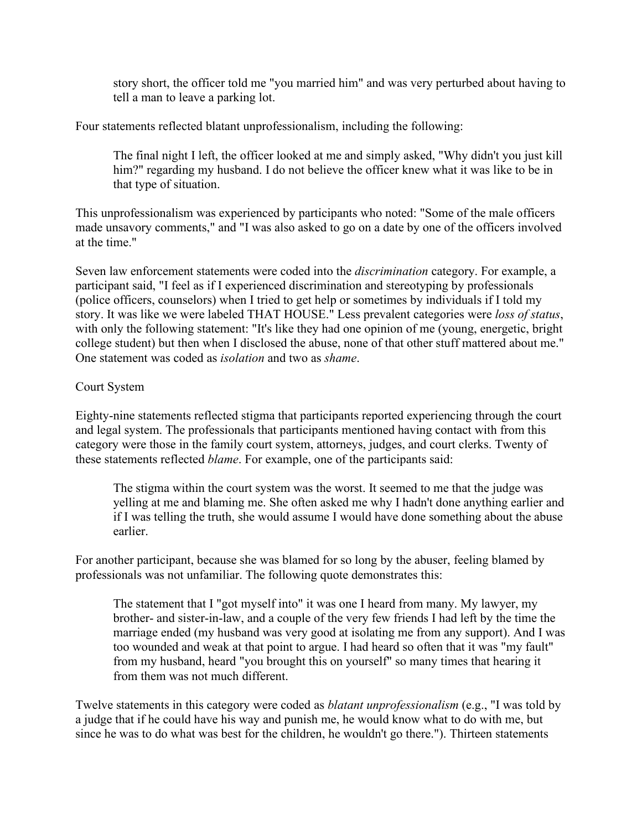story short, the officer told me "you married him" and was very perturbed about having to tell a man to leave a parking lot.

Four statements reflected blatant unprofessionalism, including the following:

The final night I left, the officer looked at me and simply asked, "Why didn't you just kill him?" regarding my husband. I do not believe the officer knew what it was like to be in that type of situation.

This unprofessionalism was experienced by participants who noted: "Some of the male officers made unsavory comments," and "I was also asked to go on a date by one of the officers involved at the time."

Seven law enforcement statements were coded into the *discrimination* category. For example, a participant said, "I feel as if I experienced discrimination and stereotyping by professionals (police officers, counselors) when I tried to get help or sometimes by individuals if I told my story. It was like we were labeled THAT HOUSE." Less prevalent categories were *loss of status*, with only the following statement: "It's like they had one opinion of me (young, energetic, bright college student) but then when I disclosed the abuse, none of that other stuff mattered about me." One statement was coded as *isolation* and two as *shame*.

### Court System

Eighty-nine statements reflected stigma that participants reported experiencing through the court and legal system. The professionals that participants mentioned having contact with from this category were those in the family court system, attorneys, judges, and court clerks. Twenty of these statements reflected *blame*. For example, one of the participants said:

The stigma within the court system was the worst. It seemed to me that the judge was yelling at me and blaming me. She often asked me why I hadn't done anything earlier and if I was telling the truth, she would assume I would have done something about the abuse earlier.

For another participant, because she was blamed for so long by the abuser, feeling blamed by professionals was not unfamiliar. The following quote demonstrates this:

The statement that I "got myself into" it was one I heard from many. My lawyer, my brother- and sister-in-law, and a couple of the very few friends I had left by the time the marriage ended (my husband was very good at isolating me from any support). And I was too wounded and weak at that point to argue. I had heard so often that it was "my fault" from my husband, heard "you brought this on yourself" so many times that hearing it from them was not much different.

Twelve statements in this category were coded as *blatant unprofessionalism* (e.g., "I was told by a judge that if he could have his way and punish me, he would know what to do with me, but since he was to do what was best for the children, he wouldn't go there."). Thirteen statements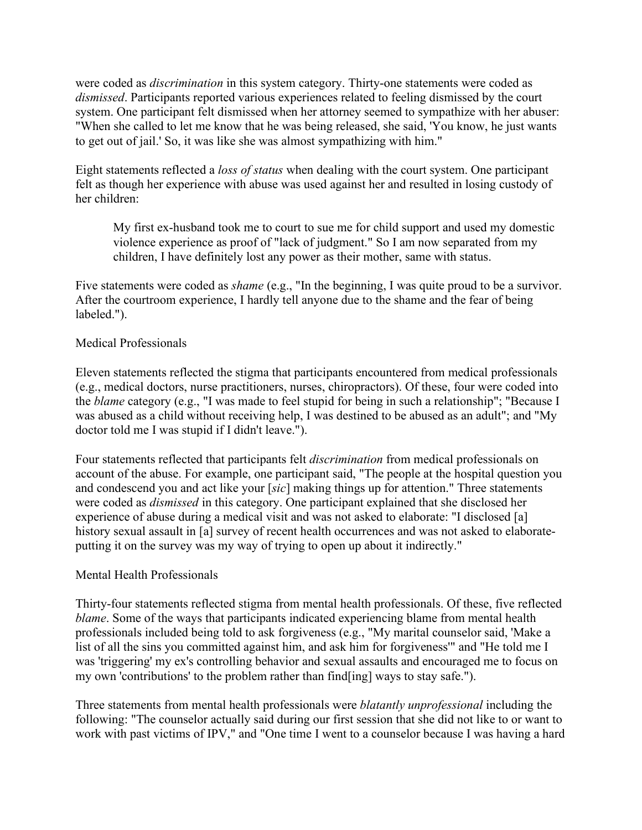were coded as *discrimination* in this system category. Thirty-one statements were coded as *dismissed*. Participants reported various experiences related to feeling dismissed by the court system. One participant felt dismissed when her attorney seemed to sympathize with her abuser: "When she called to let me know that he was being released, she said, 'You know, he just wants to get out of jail.' So, it was like she was almost sympathizing with him."

Eight statements reflected a *loss of status* when dealing with the court system. One participant felt as though her experience with abuse was used against her and resulted in losing custody of her children:

My first ex-husband took me to court to sue me for child support and used my domestic violence experience as proof of "lack of judgment." So I am now separated from my children, I have definitely lost any power as their mother, same with status.

Five statements were coded as *shame* (e.g., "In the beginning, I was quite proud to be a survivor. After the courtroom experience, I hardly tell anyone due to the shame and the fear of being labeled.").

### Medical Professionals

Eleven statements reflected the stigma that participants encountered from medical professionals (e.g., medical doctors, nurse practitioners, nurses, chiropractors). Of these, four were coded into the *blame* category (e.g., "I was made to feel stupid for being in such a relationship"; "Because I was abused as a child without receiving help, I was destined to be abused as an adult"; and "My doctor told me I was stupid if I didn't leave.").

Four statements reflected that participants felt *discrimination* from medical professionals on account of the abuse. For example, one participant said, "The people at the hospital question you and condescend you and act like your [*sic*] making things up for attention." Three statements were coded as *dismissed* in this category. One participant explained that she disclosed her experience of abuse during a medical visit and was not asked to elaborate: "I disclosed [a] history sexual assault in [a] survey of recent health occurrences and was not asked to elaborateputting it on the survey was my way of trying to open up about it indirectly."

## Mental Health Professionals

Thirty-four statements reflected stigma from mental health professionals. Of these, five reflected *blame*. Some of the ways that participants indicated experiencing blame from mental health professionals included being told to ask forgiveness (e.g., "My marital counselor said, 'Make a list of all the sins you committed against him, and ask him for forgiveness'" and "He told me I was 'triggering' my ex's controlling behavior and sexual assaults and encouraged me to focus on my own 'contributions' to the problem rather than find[ing] ways to stay safe.").

Three statements from mental health professionals were *blatantly unprofessional* including the following: "The counselor actually said during our first session that she did not like to or want to work with past victims of IPV," and "One time I went to a counselor because I was having a hard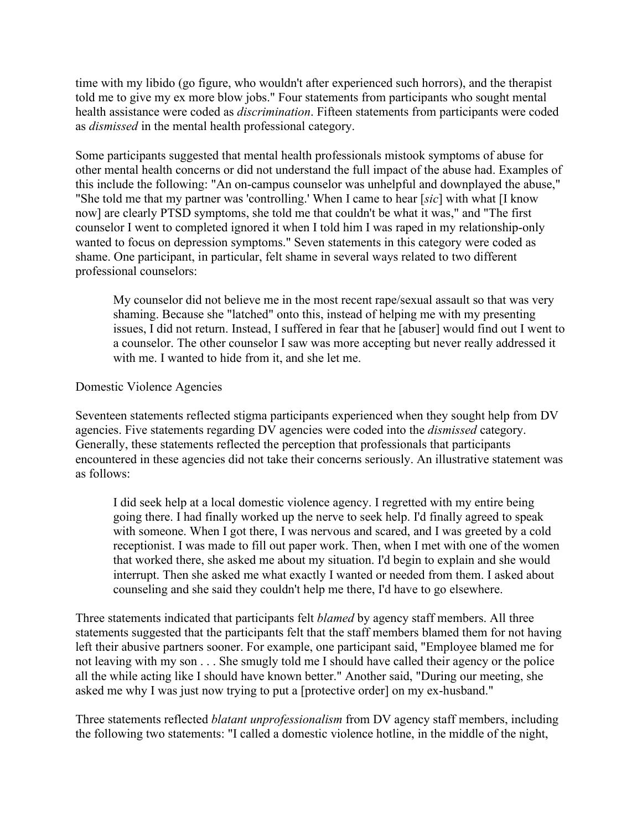time with my libido (go figure, who wouldn't after experienced such horrors), and the therapist told me to give my ex more blow jobs." Four statements from participants who sought mental health assistance were coded as *discrimination*. Fifteen statements from participants were coded as *dismissed* in the mental health professional category.

Some participants suggested that mental health professionals mistook symptoms of abuse for other mental health concerns or did not understand the full impact of the abuse had. Examples of this include the following: "An on-campus counselor was unhelpful and downplayed the abuse," "She told me that my partner was 'controlling.' When I came to hear [*sic*] with what [I know now] are clearly PTSD symptoms, she told me that couldn't be what it was," and "The first counselor I went to completed ignored it when I told him I was raped in my relationship-only wanted to focus on depression symptoms." Seven statements in this category were coded as shame. One participant, in particular, felt shame in several ways related to two different professional counselors:

My counselor did not believe me in the most recent rape/sexual assault so that was very shaming. Because she "latched" onto this, instead of helping me with my presenting issues, I did not return. Instead, I suffered in fear that he [abuser] would find out I went to a counselor. The other counselor I saw was more accepting but never really addressed it with me. I wanted to hide from it, and she let me.

### Domestic Violence Agencies

Seventeen statements reflected stigma participants experienced when they sought help from DV agencies. Five statements regarding DV agencies were coded into the *dismissed* category. Generally, these statements reflected the perception that professionals that participants encountered in these agencies did not take their concerns seriously. An illustrative statement was as follows:

I did seek help at a local domestic violence agency. I regretted with my entire being going there. I had finally worked up the nerve to seek help. I'd finally agreed to speak with someone. When I got there, I was nervous and scared, and I was greeted by a cold receptionist. I was made to fill out paper work. Then, when I met with one of the women that worked there, she asked me about my situation. I'd begin to explain and she would interrupt. Then she asked me what exactly I wanted or needed from them. I asked about counseling and she said they couldn't help me there, I'd have to go elsewhere.

Three statements indicated that participants felt *blamed* by agency staff members. All three statements suggested that the participants felt that the staff members blamed them for not having left their abusive partners sooner. For example, one participant said, "Employee blamed me for not leaving with my son . . . She smugly told me I should have called their agency or the police all the while acting like I should have known better." Another said, "During our meeting, she asked me why I was just now trying to put a [protective order] on my ex-husband."

Three statements reflected *blatant unprofessionalism* from DV agency staff members, including the following two statements: "I called a domestic violence hotline, in the middle of the night,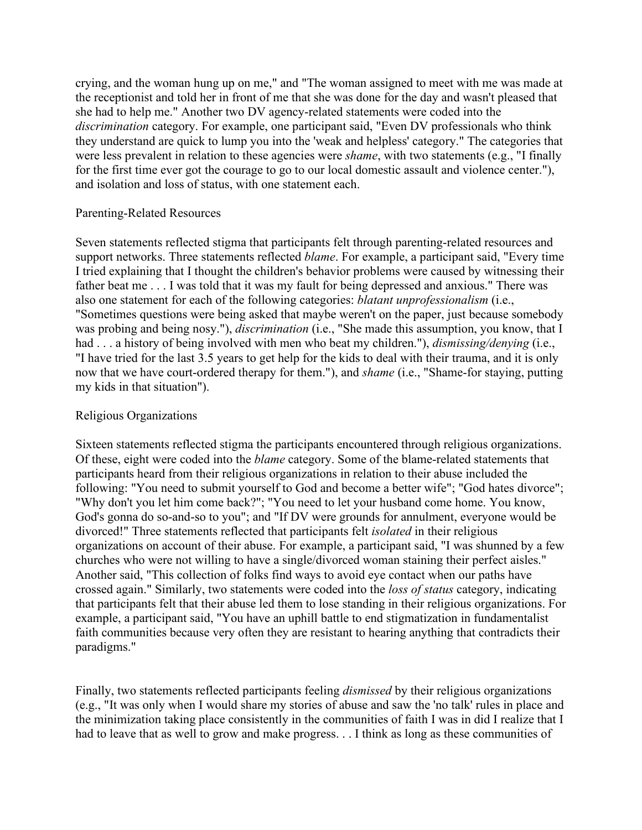crying, and the woman hung up on me," and "The woman assigned to meet with me was made at the receptionist and told her in front of me that she was done for the day and wasn't pleased that she had to help me." Another two DV agency-related statements were coded into the *discrimination* category. For example, one participant said, "Even DV professionals who think they understand are quick to lump you into the 'weak and helpless' category." The categories that were less prevalent in relation to these agencies were *shame*, with two statements (e.g., "I finally for the first time ever got the courage to go to our local domestic assault and violence center."), and isolation and loss of status, with one statement each.

#### Parenting-Related Resources

Seven statements reflected stigma that participants felt through parenting-related resources and support networks. Three statements reflected *blame*. For example, a participant said, "Every time I tried explaining that I thought the children's behavior problems were caused by witnessing their father beat me . . . I was told that it was my fault for being depressed and anxious." There was also one statement for each of the following categories: *blatant unprofessionalism* (i.e., "Sometimes questions were being asked that maybe weren't on the paper, just because somebody was probing and being nosy."), *discrimination* (i.e., "She made this assumption, you know, that I had . . . a history of being involved with men who beat my children."), *dismissing/denying* (i.e., "I have tried for the last 3.5 years to get help for the kids to deal with their trauma, and it is only now that we have court-ordered therapy for them."), and *shame* (i.e., "Shame-for staying, putting my kids in that situation").

### Religious Organizations

Sixteen statements reflected stigma the participants encountered through religious organizations. Of these, eight were coded into the *blame* category. Some of the blame-related statements that participants heard from their religious organizations in relation to their abuse included the following: "You need to submit yourself to God and become a better wife"; "God hates divorce"; "Why don't you let him come back?"; "You need to let your husband come home. You know, God's gonna do so-and-so to you"; and "If DV were grounds for annulment, everyone would be divorced!" Three statements reflected that participants felt *isolated* in their religious organizations on account of their abuse. For example, a participant said, "I was shunned by a few churches who were not willing to have a single/divorced woman staining their perfect aisles." Another said, "This collection of folks find ways to avoid eye contact when our paths have crossed again." Similarly, two statements were coded into the *loss of status* category, indicating that participants felt that their abuse led them to lose standing in their religious organizations. For example, a participant said, "You have an uphill battle to end stigmatization in fundamentalist faith communities because very often they are resistant to hearing anything that contradicts their paradigms."

Finally, two statements reflected participants feeling *dismissed* by their religious organizations (e.g., "It was only when I would share my stories of abuse and saw the 'no talk' rules in place and the minimization taking place consistently in the communities of faith I was in did I realize that I had to leave that as well to grow and make progress. . . I think as long as these communities of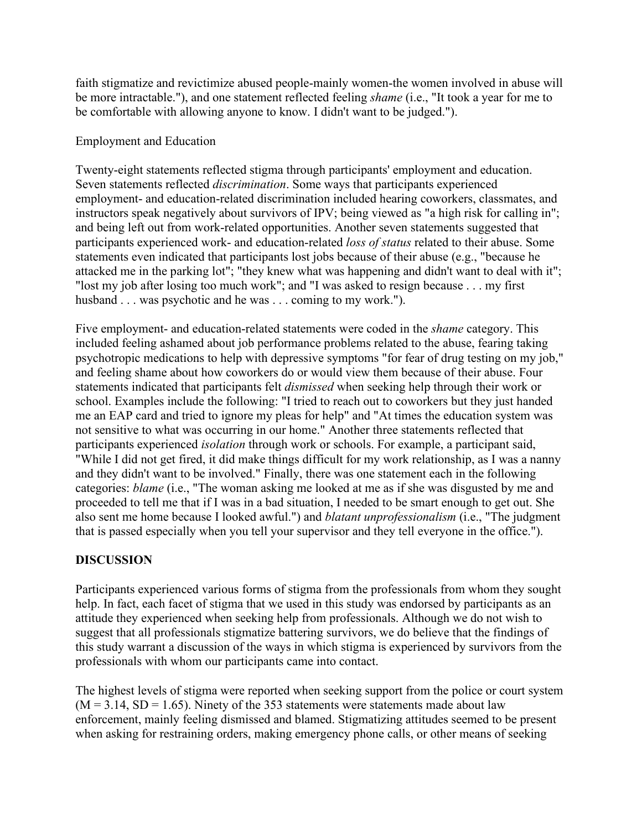faith stigmatize and revictimize abused people-mainly women-the women involved in abuse will be more intractable."), and one statement reflected feeling *shame* (i.e., "It took a year for me to be comfortable with allowing anyone to know. I didn't want to be judged.").

### Employment and Education

Twenty-eight statements reflected stigma through participants' employment and education. Seven statements reflected *discrimination*. Some ways that participants experienced employment- and education-related discrimination included hearing coworkers, classmates, and instructors speak negatively about survivors of IPV; being viewed as "a high risk for calling in"; and being left out from work-related opportunities. Another seven statements suggested that participants experienced work- and education-related *loss of status* related to their abuse. Some statements even indicated that participants lost jobs because of their abuse (e.g., "because he attacked me in the parking lot"; "they knew what was happening and didn't want to deal with it"; "lost my job after losing too much work"; and "I was asked to resign because . . . my first husband . . . was psychotic and he was . . . coming to my work.").

Five employment- and education-related statements were coded in the *shame* category. This included feeling ashamed about job performance problems related to the abuse, fearing taking psychotropic medications to help with depressive symptoms "for fear of drug testing on my job," and feeling shame about how coworkers do or would view them because of their abuse. Four statements indicated that participants felt *dismissed* when seeking help through their work or school. Examples include the following: "I tried to reach out to coworkers but they just handed me an EAP card and tried to ignore my pleas for help" and "At times the education system was not sensitive to what was occurring in our home." Another three statements reflected that participants experienced *isolation* through work or schools. For example, a participant said, "While I did not get fired, it did make things difficult for my work relationship, as I was a nanny and they didn't want to be involved." Finally, there was one statement each in the following categories: *blame* (i.e., "The woman asking me looked at me as if she was disgusted by me and proceeded to tell me that if I was in a bad situation, I needed to be smart enough to get out. She also sent me home because I looked awful.") and *blatant unprofessionalism* (i.e., "The judgment that is passed especially when you tell your supervisor and they tell everyone in the office.").

## **DISCUSSION**

Participants experienced various forms of stigma from the professionals from whom they sought help. In fact, each facet of stigma that we used in this study was endorsed by participants as an attitude they experienced when seeking help from professionals. Although we do not wish to suggest that all professionals stigmatize battering survivors, we do believe that the findings of this study warrant a discussion of the ways in which stigma is experienced by survivors from the professionals with whom our participants came into contact.

The highest levels of stigma were reported when seeking support from the police or court system  $(M = 3.14, SD = 1.65)$ . Ninety of the 353 statements were statements made about law enforcement, mainly feeling dismissed and blamed. Stigmatizing attitudes seemed to be present when asking for restraining orders, making emergency phone calls, or other means of seeking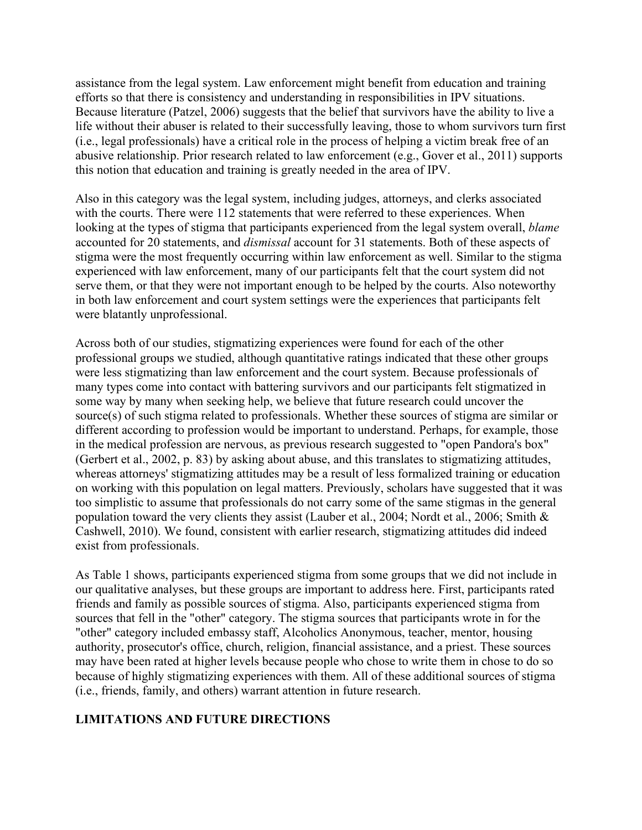assistance from the legal system. Law enforcement might benefit from education and training efforts so that there is consistency and understanding in responsibilities in IPV situations. Because literature (Patzel, 2006) suggests that the belief that survivors have the ability to live a life without their abuser is related to their successfully leaving, those to whom survivors turn first (i.e., legal professionals) have a critical role in the process of helping a victim break free of an abusive relationship. Prior research related to law enforcement (e.g., Gover et al., 2011) supports this notion that education and training is greatly needed in the area of IPV.

Also in this category was the legal system, including judges, attorneys, and clerks associated with the courts. There were 112 statements that were referred to these experiences. When looking at the types of stigma that participants experienced from the legal system overall, *blame*  accounted for 20 statements, and *dismissal* account for 31 statements. Both of these aspects of stigma were the most frequently occurring within law enforcement as well. Similar to the stigma experienced with law enforcement, many of our participants felt that the court system did not serve them, or that they were not important enough to be helped by the courts. Also noteworthy in both law enforcement and court system settings were the experiences that participants felt were blatantly unprofessional.

Across both of our studies, stigmatizing experiences were found for each of the other professional groups we studied, although quantitative ratings indicated that these other groups were less stigmatizing than law enforcement and the court system. Because professionals of many types come into contact with battering survivors and our participants felt stigmatized in some way by many when seeking help, we believe that future research could uncover the source(s) of such stigma related to professionals. Whether these sources of stigma are similar or different according to profession would be important to understand. Perhaps, for example, those in the medical profession are nervous, as previous research suggested to "open Pandora's box" (Gerbert et al., 2002, p. 83) by asking about abuse, and this translates to stigmatizing attitudes, whereas attorneys' stigmatizing attitudes may be a result of less formalized training or education on working with this population on legal matters. Previously, scholars have suggested that it was too simplistic to assume that professionals do not carry some of the same stigmas in the general population toward the very clients they assist (Lauber et al., 2004; Nordt et al., 2006; Smith & Cashwell, 2010). We found, consistent with earlier research, stigmatizing attitudes did indeed exist from professionals.

As Table 1 shows, participants experienced stigma from some groups that we did not include in our qualitative analyses, but these groups are important to address here. First, participants rated friends and family as possible sources of stigma. Also, participants experienced stigma from sources that fell in the "other" category. The stigma sources that participants wrote in for the "other" category included embassy staff, Alcoholics Anonymous, teacher, mentor, housing authority, prosecutor's office, church, religion, financial assistance, and a priest. These sources may have been rated at higher levels because people who chose to write them in chose to do so because of highly stigmatizing experiences with them. All of these additional sources of stigma (i.e., friends, family, and others) warrant attention in future research.

# **LIMITATIONS AND FUTURE DIRECTIONS**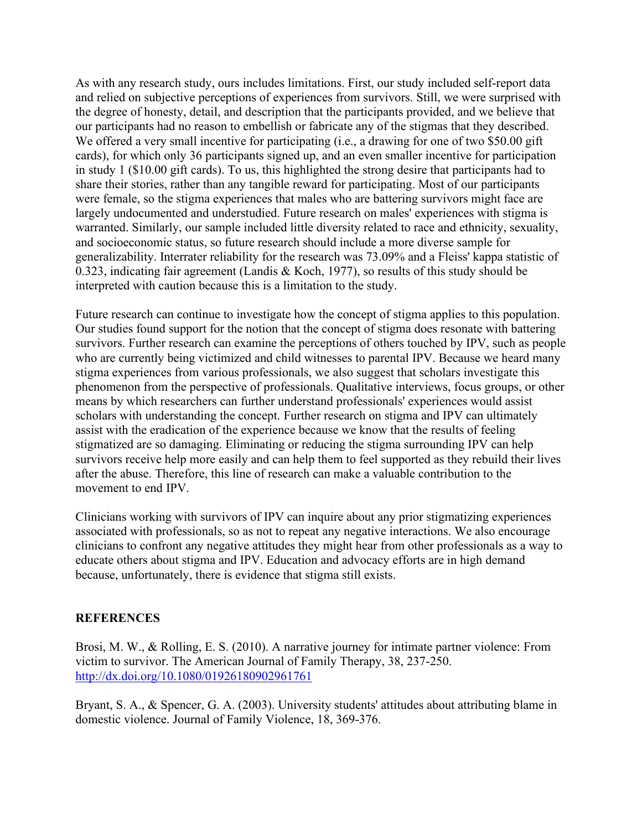As with any research study, ours includes limitations. First, our study included self-report data and relied on subjective perceptions of experiences from survivors. Still, we were surprised with the degree of honesty, detail, and description that the participants provided, and we believe that our participants had no reason to embellish or fabricate any of the stigmas that they described. We offered a very small incentive for participating (i.e., a drawing for one of two \$50.00 gift cards), for which only 36 participants signed up, and an even smaller incentive for participation in study 1 (\$10.00 gift cards). To us, this highlighted the strong desire that participants had to share their stories, rather than any tangible reward for participating. Most of our participants were female, so the stigma experiences that males who are battering survivors might face are largely undocumented and understudied. Future research on males' experiences with stigma is warranted. Similarly, our sample included little diversity related to race and ethnicity, sexuality, and socioeconomic status, so future research should include a more diverse sample for generalizability. Interrater reliability for the research was 73.09% and a Fleiss' kappa statistic of 0.323, indicating fair agreement (Landis & Koch, 1977), so results of this study should be interpreted with caution because this is a limitation to the study.

Future research can continue to investigate how the concept of stigma applies to this population. Our studies found support for the notion that the concept of stigma does resonate with battering survivors. Further research can examine the perceptions of others touched by IPV, such as people who are currently being victimized and child witnesses to parental IPV. Because we heard many stigma experiences from various professionals, we also suggest that scholars investigate this phenomenon from the perspective of professionals. Qualitative interviews, focus groups, or other means by which researchers can further understand professionals' experiences would assist scholars with understanding the concept. Further research on stigma and IPV can ultimately assist with the eradication of the experience because we know that the results of feeling stigmatized are so damaging. Eliminating or reducing the stigma surrounding IPV can help survivors receive help more easily and can help them to feel supported as they rebuild their lives after the abuse. Therefore, this line of research can make a valuable contribution to the movement to end IPV.

Clinicians working with survivors of IPV can inquire about any prior stigmatizing experiences associated with professionals, so as not to repeat any negative interactions. We also encourage clinicians to confront any negative attitudes they might hear from other professionals as a way to educate others about stigma and IPV. Education and advocacy efforts are in high demand because, unfortunately, there is evidence that stigma still exists.

### **REFERENCES**

Brosi, M. W., & Rolling, E. S. (2010). A narrative journey for intimate partner violence: From victim to survivor. The American Journal of Family Therapy, 38, 237-250. <http://dx.doi.org/10.1080/01926180902961761>

Bryant, S. A., & Spencer, G. A. (2003). University students' attitudes about attributing blame in domestic violence. Journal of Family Violence, 18, 369-376.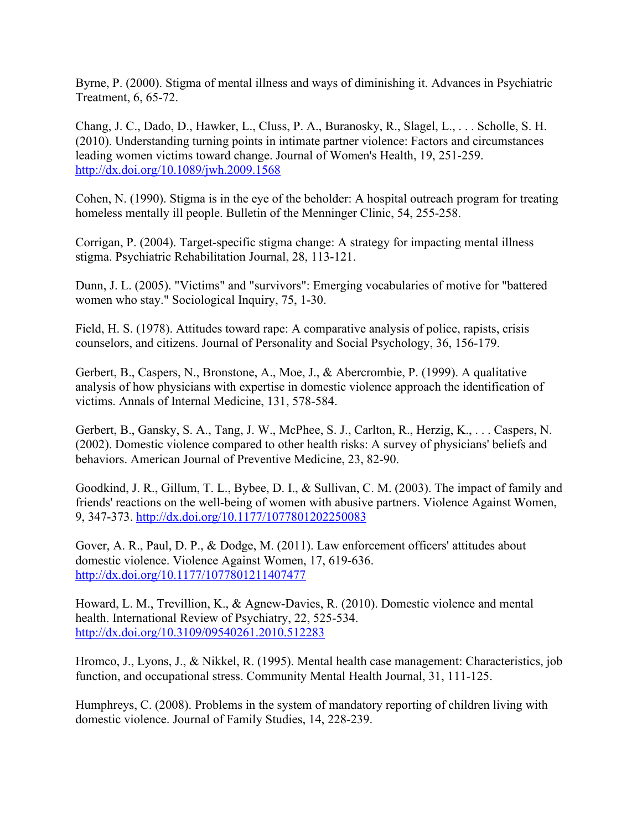Byrne, P. (2000). Stigma of mental illness and ways of diminishing it. Advances in Psychiatric Treatment, 6, 65-72.

Chang, J. C., Dado, D., Hawker, L., Cluss, P. A., Buranosky, R., Slagel, L., . . . Scholle, S. H. (2010). Understanding turning points in intimate partner violence: Factors and circumstances leading women victims toward change. Journal of Women's Health, 19, 251-259. <http://dx.doi.org/10.1089/jwh.2009.1568>

Cohen, N. (1990). Stigma is in the eye of the beholder: A hospital outreach program for treating homeless mentally ill people. Bulletin of the Menninger Clinic, 54, 255-258.

Corrigan, P. (2004). Target-specific stigma change: A strategy for impacting mental illness stigma. Psychiatric Rehabilitation Journal, 28, 113-121.

Dunn, J. L. (2005). "Victims" and "survivors": Emerging vocabularies of motive for "battered women who stay." Sociological Inquiry, 75, 1-30.

Field, H. S. (1978). Attitudes toward rape: A comparative analysis of police, rapists, crisis counselors, and citizens. Journal of Personality and Social Psychology, 36, 156-179.

Gerbert, B., Caspers, N., Bronstone, A., Moe, J., & Abercrombie, P. (1999). A qualitative analysis of how physicians with expertise in domestic violence approach the identification of victims. Annals of Internal Medicine, 131, 578-584.

Gerbert, B., Gansky, S. A., Tang, J. W., McPhee, S. J., Carlton, R., Herzig, K., . . . Caspers, N. (2002). Domestic violence compared to other health risks: A survey of physicians' beliefs and behaviors. American Journal of Preventive Medicine, 23, 82-90.

Goodkind, J. R., Gillum, T. L., Bybee, D. I., & Sullivan, C. M. (2003). The impact of family and friends' reactions on the well-being of women with abusive partners. Violence Against Women, 9, 347-373.<http://dx.doi.org/10.1177/1077801202250083>

Gover, A. R., Paul, D. P., & Dodge, M. (2011). Law enforcement officers' attitudes about domestic violence. Violence Against Women, 17, 619-636. <http://dx.doi.org/10.1177/1077801211407477>

Howard, L. M., Trevillion, K., & Agnew-Davies, R. (2010). Domestic violence and mental health. International Review of Psychiatry, 22, 525-534. <http://dx.doi.org/10.3109/09540261.2010.512283>

Hromco, J., Lyons, J., & Nikkel, R. (1995). Mental health case management: Characteristics, job function, and occupational stress. Community Mental Health Journal, 31, 111-125.

Humphreys, C. (2008). Problems in the system of mandatory reporting of children living with domestic violence. Journal of Family Studies, 14, 228-239.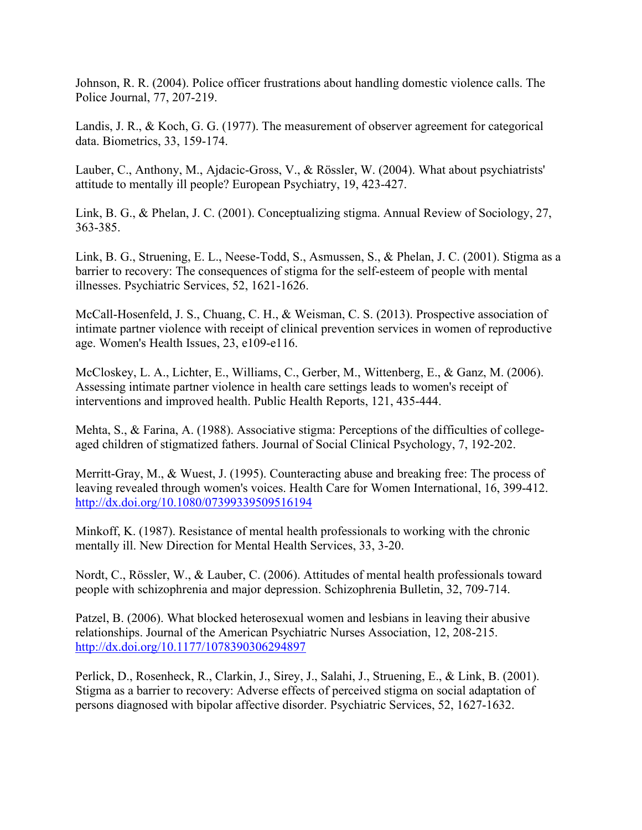Johnson, R. R. (2004). Police officer frustrations about handling domestic violence calls. The Police Journal, 77, 207-219.

Landis, J. R., & Koch, G. G. (1977). The measurement of observer agreement for categorical data. Biometrics, 33, 159-174.

Lauber, C., Anthony, M., Ajdacic-Gross, V., & Rössler, W. (2004). What about psychiatrists' attitude to mentally ill people? European Psychiatry, 19, 423-427.

Link, B. G., & Phelan, J. C. (2001). Conceptualizing stigma. Annual Review of Sociology, 27, 363-385.

Link, B. G., Struening, E. L., Neese-Todd, S., Asmussen, S., & Phelan, J. C. (2001). Stigma as a barrier to recovery: The consequences of stigma for the self-esteem of people with mental illnesses. Psychiatric Services, 52, 1621-1626.

McCall-Hosenfeld, J. S., Chuang, C. H., & Weisman, C. S. (2013). Prospective association of intimate partner violence with receipt of clinical prevention services in women of reproductive age. Women's Health Issues, 23, e109-e116.

McCloskey, L. A., Lichter, E., Williams, C., Gerber, M., Wittenberg, E., & Ganz, M. (2006). Assessing intimate partner violence in health care settings leads to women's receipt of interventions and improved health. Public Health Reports, 121, 435-444.

Mehta, S., & Farina, A. (1988). Associative stigma: Perceptions of the difficulties of collegeaged children of stigmatized fathers. Journal of Social Clinical Psychology, 7, 192-202.

Merritt-Gray, M., & Wuest, J. (1995). Counteracting abuse and breaking free: The process of leaving revealed through women's voices. Health Care for Women International, 16, 399-412. <http://dx.doi.org/10.1080/07399339509516194>

Minkoff, K. (1987). Resistance of mental health professionals to working with the chronic mentally ill. New Direction for Mental Health Services, 33, 3-20.

Nordt, C., Rössler, W., & Lauber, C. (2006). Attitudes of mental health professionals toward people with schizophrenia and major depression. Schizophrenia Bulletin, 32, 709-714.

Patzel, B. (2006). What blocked heterosexual women and lesbians in leaving their abusive relationships. Journal of the American Psychiatric Nurses Association, 12, 208-215. <http://dx.doi.org/10.1177/1078390306294897>

Perlick, D., Rosenheck, R., Clarkin, J., Sirey, J., Salahi, J., Struening, E., & Link, B. (2001). Stigma as a barrier to recovery: Adverse effects of perceived stigma on social adaptation of persons diagnosed with bipolar affective disorder. Psychiatric Services, 52, 1627-1632.